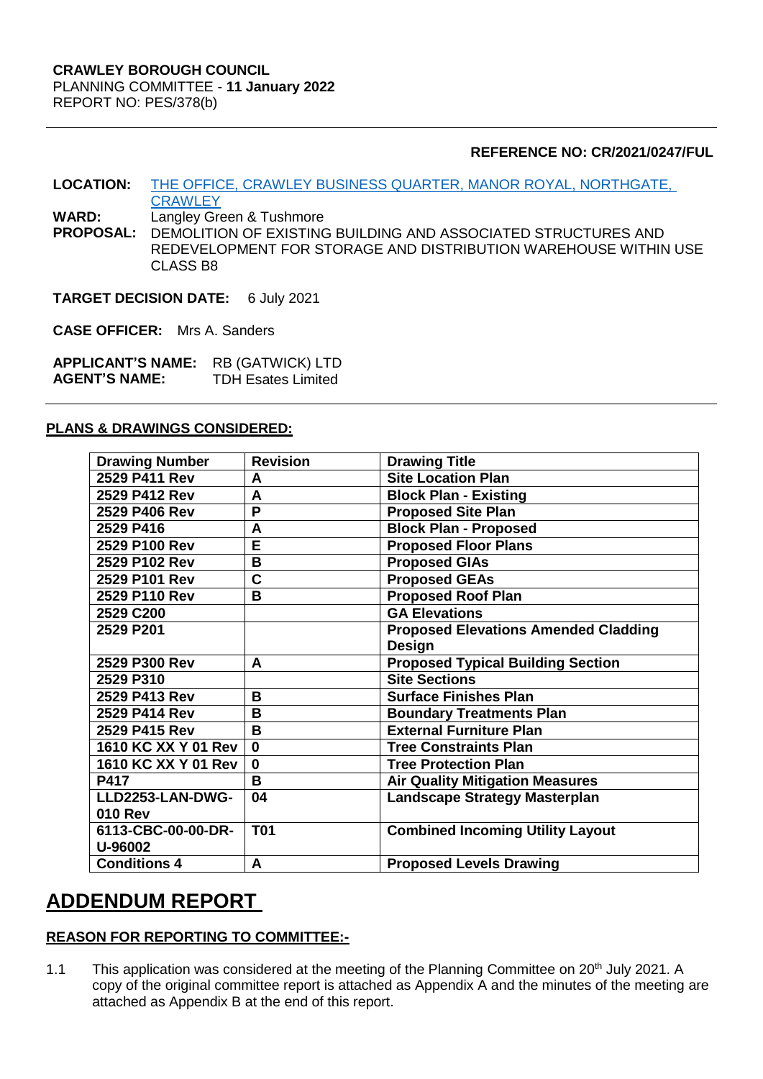### **REFERENCE NO: CR/2021/0247/FUL**

**LOCATION:** [THE OFFICE, CRAWLEY BUSINESS QUARTER, MANOR ROYAL, NORTHGATE,](https://planningregister.crawley.gov.uk/Planning/Display/CR/2021/0247/FUL#SupportingDocumentsTab)  **[CRAWLEY](https://planningregister.crawley.gov.uk/Planning/Display/CR/2021/0247/FUL#SupportingDocumentsTab)** 

**WARD:** Langley Green & Tushmore<br>**PROPOSAL:** DEMOLITION OF EXISTING

**PROPOSAL:** DEMOLITION OF EXISTING BUILDING AND ASSOCIATED STRUCTURES AND REDEVELOPMENT FOR STORAGE AND DISTRIBUTION WAREHOUSE WITHIN USE CLASS B8

**TARGET DECISION DATE:** 6 July 2021

**CASE OFFICER:** Mrs A. Sanders

**APPLICANT'S NAME:** RB (GATWICK) LTD<br>**AGENT'S NAME:** TDH Esates Limited **AGENT'S NAME:** 

#### **PLANS & DRAWINGS CONSIDERED:**

| <b>Drawing Number</b> | <b>Revision</b> | <b>Drawing Title</b>                        |
|-----------------------|-----------------|---------------------------------------------|
| 2529 P411 Rev         | A               | <b>Site Location Plan</b>                   |
| 2529 P412 Rev         | A               | <b>Block Plan - Existing</b>                |
| 2529 P406 Rev         | P               | <b>Proposed Site Plan</b>                   |
| 2529 P416             | A               | <b>Block Plan - Proposed</b>                |
| 2529 P100 Rev         | Ē               | <b>Proposed Floor Plans</b>                 |
| 2529 P102 Rev         | В               | <b>Proposed GIAs</b>                        |
| 2529 P101 Rev         | C               | <b>Proposed GEAs</b>                        |
| 2529 P110 Rev         | B               | <b>Proposed Roof Plan</b>                   |
| 2529 C200             |                 | <b>GA Elevations</b>                        |
| 2529 P201             |                 | <b>Proposed Elevations Amended Cladding</b> |
|                       |                 | Design                                      |
| 2529 P300 Rev         | A               | <b>Proposed Typical Building Section</b>    |
| 2529 P310             |                 | <b>Site Sections</b>                        |
| 2529 P413 Rev         | В               | <b>Surface Finishes Plan</b>                |
| 2529 P414 Rev         | В               | <b>Boundary Treatments Plan</b>             |
| 2529 P415 Rev         | B               | <b>External Furniture Plan</b>              |
| 1610 KC XX Y 01 Rev   | $\mathbf 0$     | <b>Tree Constraints Plan</b>                |
| 1610 KC XX Y 01 Rev   | $\bf{0}$        | <b>Tree Protection Plan</b>                 |
| P417                  | B               | <b>Air Quality Mitigation Measures</b>      |
| LLD2253-LAN-DWG-      | 04              | <b>Landscape Strategy Masterplan</b>        |
| <b>010 Rev</b>        |                 |                                             |
| 6113-CBC-00-00-DR-    | <b>T01</b>      | <b>Combined Incoming Utility Layout</b>     |
| U-96002               |                 |                                             |
| <b>Conditions 4</b>   | A               | <b>Proposed Levels Drawing</b>              |

# **ADDENDUM REPORT**

# **REASON FOR REPORTING TO COMMITTEE:-**

1.1 This application was considered at the meeting of the Planning Committee on 20<sup>th</sup> July 2021. A copy of the original committee report is attached as Appendix A and the minutes of the meeting are attached as Appendix B at the end of this report.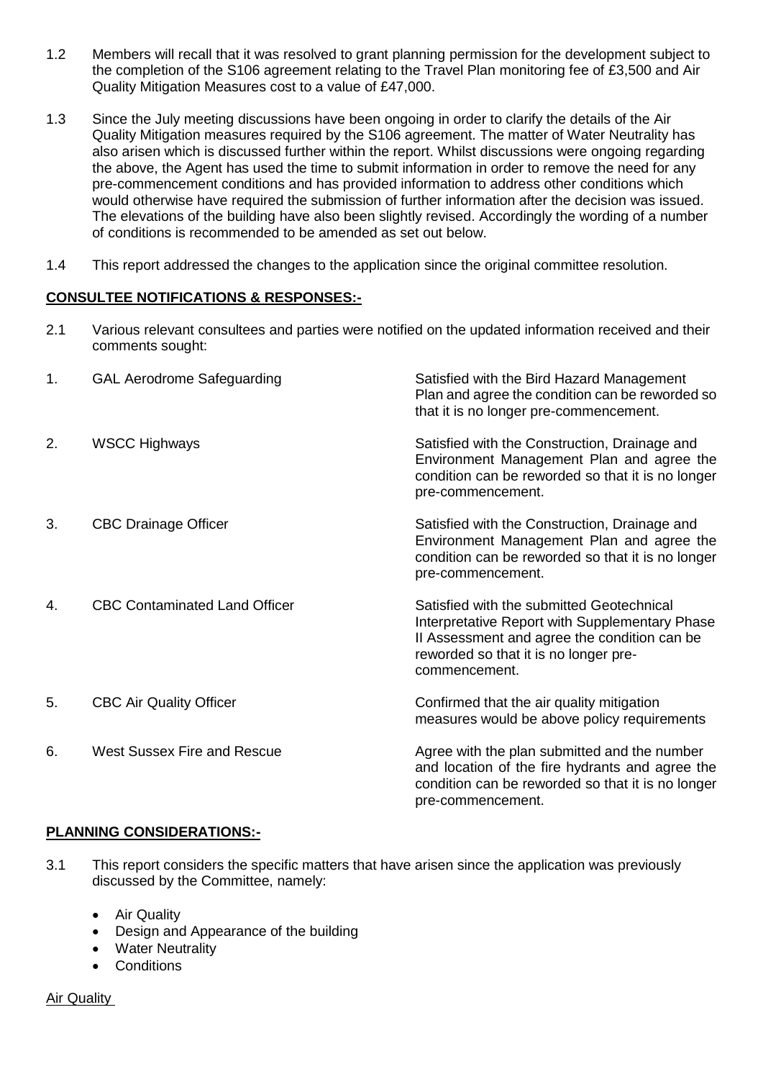- 1.2 Members will recall that it was resolved to grant planning permission for the development subject to the completion of the S106 agreement relating to the Travel Plan monitoring fee of £3,500 and Air Quality Mitigation Measures cost to a value of £47,000.
- 1.3 Since the July meeting discussions have been ongoing in order to clarify the details of the Air Quality Mitigation measures required by the S106 agreement. The matter of Water Neutrality has also arisen which is discussed further within the report. Whilst discussions were ongoing regarding the above, the Agent has used the time to submit information in order to remove the need for any pre-commencement conditions and has provided information to address other conditions which would otherwise have required the submission of further information after the decision was issued. The elevations of the building have also been slightly revised. Accordingly the wording of a number of conditions is recommended to be amended as set out below.
- 1.4 This report addressed the changes to the application since the original committee resolution.

# **CONSULTEE NOTIFICATIONS & RESPONSES:-**

2.1 Various relevant consultees and parties were notified on the updated information received and their comments sought:

| 1. | <b>GAL Aerodrome Safeguarding</b>    | Satisfied with the Bird Hazard Management<br>Plan and agree the condition can be reworded so<br>that it is no longer pre-commencement.                                                                |
|----|--------------------------------------|-------------------------------------------------------------------------------------------------------------------------------------------------------------------------------------------------------|
| 2. | <b>WSCC Highways</b>                 | Satisfied with the Construction, Drainage and<br>Environment Management Plan and agree the<br>condition can be reworded so that it is no longer<br>pre-commencement.                                  |
| 3. | <b>CBC Drainage Officer</b>          | Satisfied with the Construction, Drainage and<br>Environment Management Plan and agree the<br>condition can be reworded so that it is no longer<br>pre-commencement.                                  |
| 4. | <b>CBC Contaminated Land Officer</b> | Satisfied with the submitted Geotechnical<br>Interpretative Report with Supplementary Phase<br>II Assessment and agree the condition can be<br>reworded so that it is no longer pre-<br>commencement. |
| 5. | <b>CBC Air Quality Officer</b>       | Confirmed that the air quality mitigation<br>measures would be above policy requirements                                                                                                              |
| 6. | <b>West Sussex Fire and Rescue</b>   | Agree with the plan submitted and the number<br>and location of the fire hydrants and agree the<br>condition can be reworded so that it is no longer<br>pre-commencement.                             |

# **PLANNING CONSIDERATIONS:-**

- 3.1 This report considers the specific matters that have arisen since the application was previously discussed by the Committee, namely:
	- Air Quality
	- Design and Appearance of the building
	- Water Neutrality
	- Conditions

Air Quality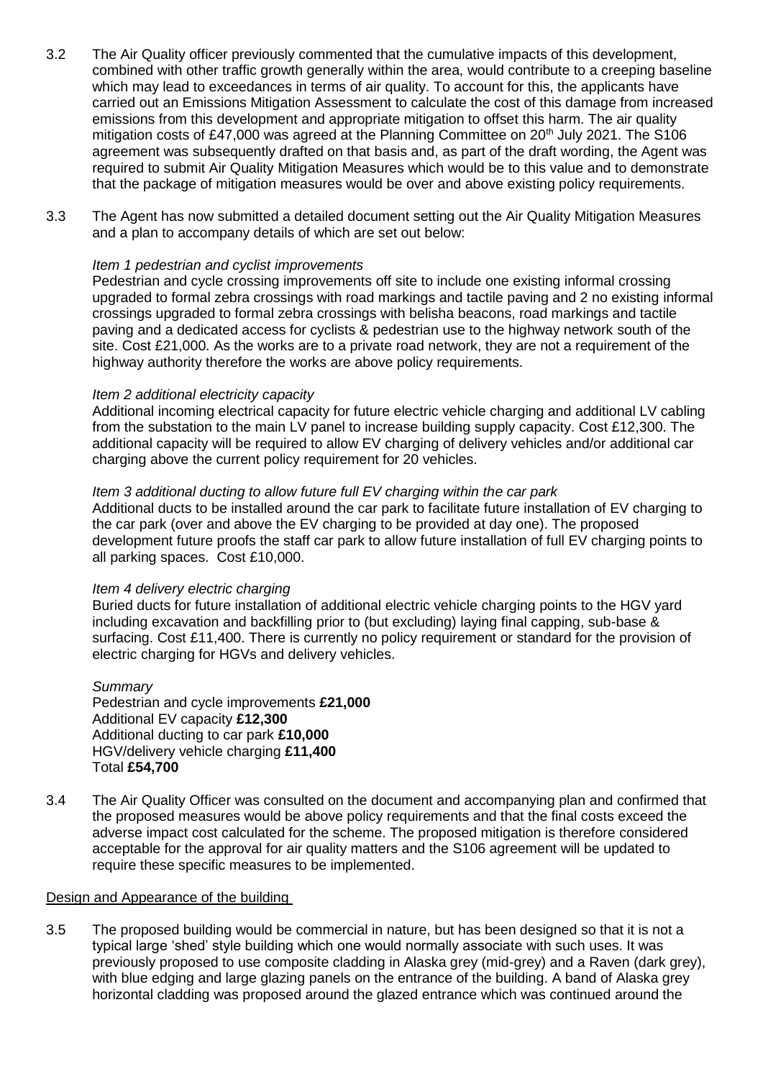- 3.2 The Air Quality officer previously commented that the cumulative impacts of this development, combined with other traffic growth generally within the area, would contribute to a creeping baseline which may lead to exceedances in terms of air quality. To account for this, the applicants have carried out an Emissions Mitigation Assessment to calculate the cost of this damage from increased emissions from this development and appropriate mitigation to offset this harm. The air quality mitigation costs of £47,000 was agreed at the Planning Committee on 20<sup>th</sup> July 2021. The S106 agreement was subsequently drafted on that basis and, as part of the draft wording, the Agent was required to submit Air Quality Mitigation Measures which would be to this value and to demonstrate that the package of mitigation measures would be over and above existing policy requirements.
- 3.3 The Agent has now submitted a detailed document setting out the Air Quality Mitigation Measures and a plan to accompany details of which are set out below:

#### *Item 1 pedestrian and cyclist improvements*

Pedestrian and cycle crossing improvements off site to include one existing informal crossing upgraded to formal zebra crossings with road markings and tactile paving and 2 no existing informal crossings upgraded to formal zebra crossings with belisha beacons, road markings and tactile paving and a dedicated access for cyclists & pedestrian use to the highway network south of the site. Cost £21,000. As the works are to a private road network, they are not a requirement of the highway authority therefore the works are above policy requirements.

#### *Item 2 additional electricity capacity*

Additional incoming electrical capacity for future electric vehicle charging and additional LV cabling from the substation to the main LV panel to increase building supply capacity. Cost £12,300. The additional capacity will be required to allow EV charging of delivery vehicles and/or additional car charging above the current policy requirement for 20 vehicles.

#### *Item 3 additional ducting to allow future full EV charging within the car park*

Additional ducts to be installed around the car park to facilitate future installation of EV charging to the car park (over and above the EV charging to be provided at day one). The proposed development future proofs the staff car park to allow future installation of full EV charging points to all parking spaces. Cost £10,000.

#### *Item 4 delivery electric charging*

Buried ducts for future installation of additional electric vehicle charging points to the HGV yard including excavation and backfilling prior to (but excluding) laying final capping, sub-base & surfacing. Cost £11,400. There is currently no policy requirement or standard for the provision of electric charging for HGVs and delivery vehicles.

*Summary*  Pedestrian and cycle improvements **£21,000** Additional EV capacity **£12,300** Additional ducting to car park **£10,000** HGV/delivery vehicle charging **£11,400** Total **£54,700**

3.4 The Air Quality Officer was consulted on the document and accompanying plan and confirmed that the proposed measures would be above policy requirements and that the final costs exceed the adverse impact cost calculated for the scheme. The proposed mitigation is therefore considered acceptable for the approval for air quality matters and the S106 agreement will be updated to require these specific measures to be implemented.

#### Design and Appearance of the building

3.5 The proposed building would be commercial in nature, but has been designed so that it is not a typical large 'shed' style building which one would normally associate with such uses. It was previously proposed to use composite cladding in Alaska grey (mid-grey) and a Raven (dark grey), with blue edging and large glazing panels on the entrance of the building. A band of Alaska grey horizontal cladding was proposed around the glazed entrance which was continued around the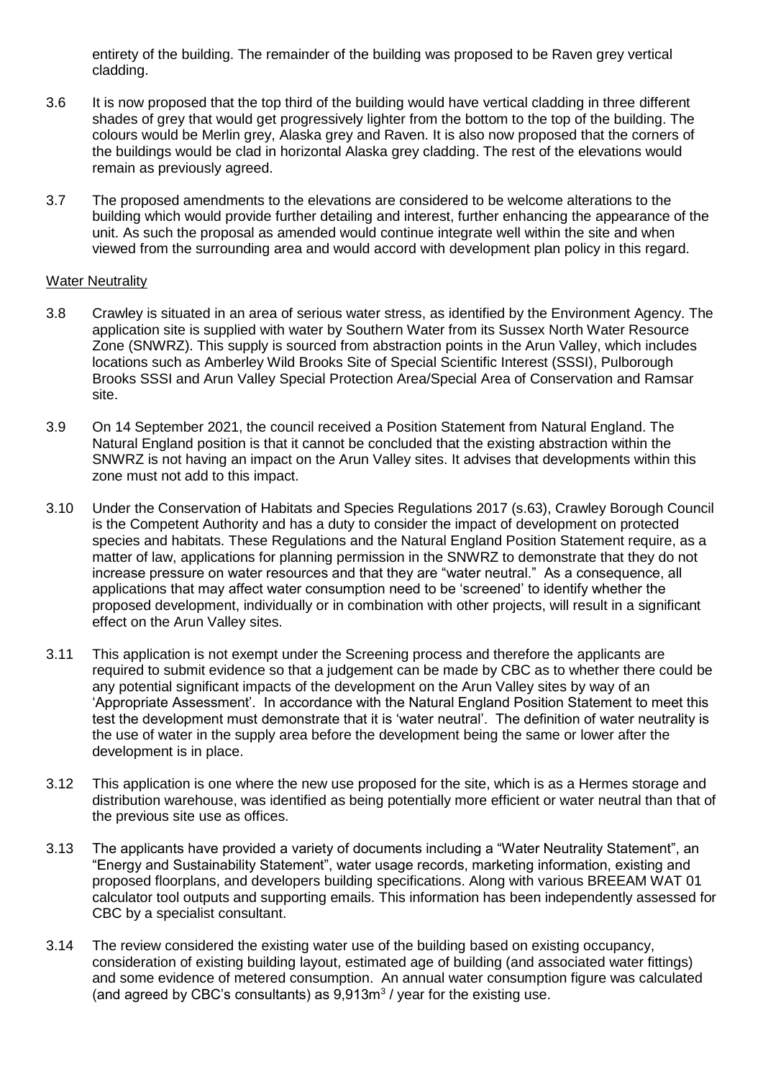entirety of the building. The remainder of the building was proposed to be Raven grey vertical cladding.

- 3.6 It is now proposed that the top third of the building would have vertical cladding in three different shades of grey that would get progressively lighter from the bottom to the top of the building. The colours would be Merlin grey, Alaska grey and Raven. It is also now proposed that the corners of the buildings would be clad in horizontal Alaska grey cladding. The rest of the elevations would remain as previously agreed.
- 3.7 The proposed amendments to the elevations are considered to be welcome alterations to the building which would provide further detailing and interest, further enhancing the appearance of the unit. As such the proposal as amended would continue integrate well within the site and when viewed from the surrounding area and would accord with development plan policy in this regard.

#### Water Neutrality

- 3.8 Crawley is situated in an area of serious water stress, as identified by the Environment Agency. The application site is supplied with water by Southern Water from its Sussex North Water Resource Zone (SNWRZ). This supply is sourced from abstraction points in the Arun Valley, which includes locations such as Amberley Wild Brooks Site of Special Scientific Interest (SSSI), Pulborough Brooks SSSI and Arun Valley Special Protection Area/Special Area of Conservation and Ramsar site.
- 3.9 On 14 September 2021, the council received a Position Statement from Natural England. The Natural England position is that it cannot be concluded that the existing abstraction within the SNWRZ is not having an impact on the Arun Valley sites. It advises that developments within this zone must not add to this impact.
- 3.10 Under the Conservation of Habitats and Species Regulations 2017 (s.63), Crawley Borough Council is the Competent Authority and has a duty to consider the impact of development on protected species and habitats. These Regulations and the Natural England Position Statement require, as a matter of law, applications for planning permission in the SNWRZ to demonstrate that they do not increase pressure on water resources and that they are "water neutral." As a consequence, all applications that may affect water consumption need to be 'screened' to identify whether the proposed development, individually or in combination with other projects, will result in a significant effect on the Arun Valley sites.
- 3.11 This application is not exempt under the Screening process and therefore the applicants are required to submit evidence so that a judgement can be made by CBC as to whether there could be any potential significant impacts of the development on the Arun Valley sites by way of an 'Appropriate Assessment'. In accordance with the Natural England Position Statement to meet this test the development must demonstrate that it is 'water neutral'. The definition of water neutrality is the use of water in the supply area before the development being the same or lower after the development is in place.
- 3.12 This application is one where the new use proposed for the site, which is as a Hermes storage and distribution warehouse, was identified as being potentially more efficient or water neutral than that of the previous site use as offices.
- 3.13 The applicants have provided a variety of documents including a "Water Neutrality Statement", an "Energy and Sustainability Statement", water usage records, marketing information, existing and proposed floorplans, and developers building specifications. Along with various BREEAM WAT 01 calculator tool outputs and supporting emails. This information has been independently assessed for CBC by a specialist consultant.
- 3.14 The review considered the existing water use of the building based on existing occupancy, consideration of existing building layout, estimated age of building (and associated water fittings) and some evidence of metered consumption. An annual water consumption figure was calculated (and agreed by CBC's consultants) as  $9,913m<sup>3</sup>$  / year for the existing use.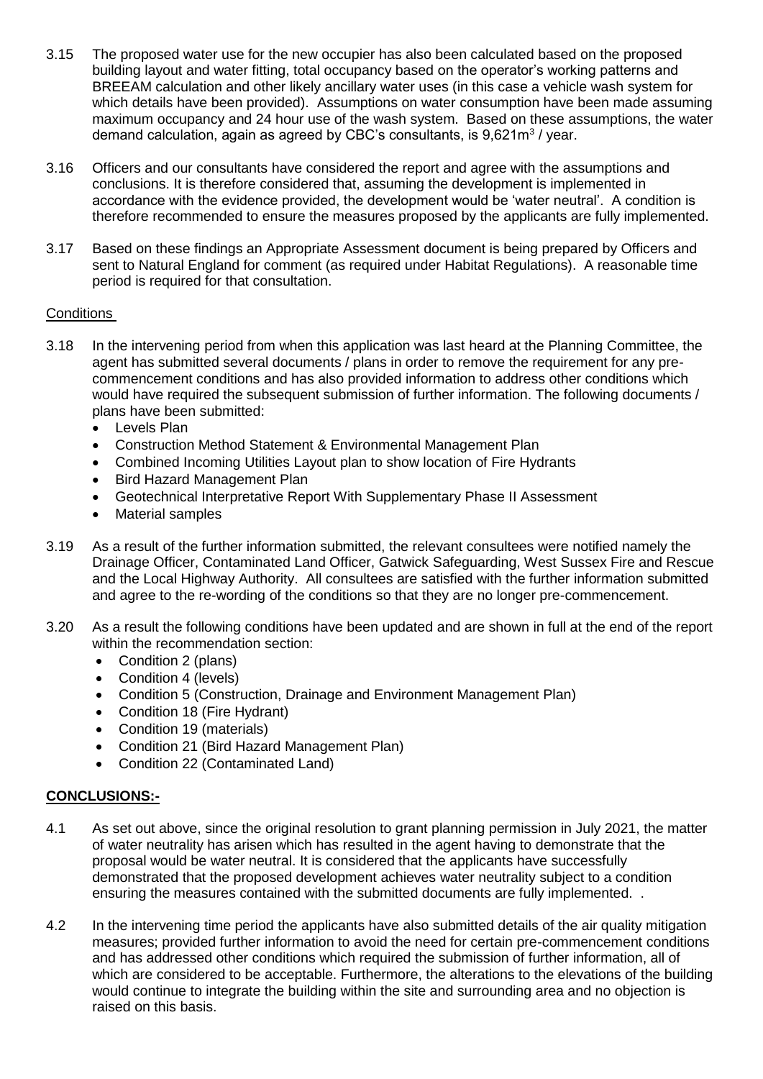- 3.15 The proposed water use for the new occupier has also been calculated based on the proposed building layout and water fitting, total occupancy based on the operator's working patterns and BREEAM calculation and other likely ancillary water uses (in this case a vehicle wash system for which details have been provided). Assumptions on water consumption have been made assuming maximum occupancy and 24 hour use of the wash system. Based on these assumptions, the water demand calculation, again as agreed by CBC's consultants, is 9,621m<sup>3</sup> / year.
- 3.16 Officers and our consultants have considered the report and agree with the assumptions and conclusions. It is therefore considered that, assuming the development is implemented in accordance with the evidence provided, the development would be 'water neutral'. A condition is therefore recommended to ensure the measures proposed by the applicants are fully implemented.
- 3.17 Based on these findings an Appropriate Assessment document is being prepared by Officers and sent to Natural England for comment (as required under Habitat Regulations). A reasonable time period is required for that consultation.

# Conditions

- 3.18 In the intervening period from when this application was last heard at the Planning Committee, the agent has submitted several documents / plans in order to remove the requirement for any precommencement conditions and has also provided information to address other conditions which would have required the subsequent submission of further information. The following documents / plans have been submitted:
	- Levels Plan
	- Construction Method Statement & Environmental Management Plan
	- Combined Incoming Utilities Layout plan to show location of Fire Hydrants
	- Bird Hazard Management Plan
	- Geotechnical Interpretative Report With Supplementary Phase II Assessment
	- Material samples
- 3.19 As a result of the further information submitted, the relevant consultees were notified namely the Drainage Officer, Contaminated Land Officer, Gatwick Safeguarding, West Sussex Fire and Rescue and the Local Highway Authority. All consultees are satisfied with the further information submitted and agree to the re-wording of the conditions so that they are no longer pre-commencement.
- 3.20 As a result the following conditions have been updated and are shown in full at the end of the report within the recommendation section:
	- Condition 2 (plans)
	- Condition 4 (levels)
	- Condition 5 (Construction, Drainage and Environment Management Plan)
	- Condition 18 (Fire Hydrant)
	- Condition 19 (materials)
	- Condition 21 (Bird Hazard Management Plan)
	- Condition 22 (Contaminated Land)

# **CONCLUSIONS:-**

- 4.1 As set out above, since the original resolution to grant planning permission in July 2021, the matter of water neutrality has arisen which has resulted in the agent having to demonstrate that the proposal would be water neutral. It is considered that the applicants have successfully demonstrated that the proposed development achieves water neutrality subject to a condition ensuring the measures contained with the submitted documents are fully implemented. .
- 4.2 In the intervening time period the applicants have also submitted details of the air quality mitigation measures; provided further information to avoid the need for certain pre-commencement conditions and has addressed other conditions which required the submission of further information, all of which are considered to be acceptable. Furthermore, the alterations to the elevations of the building would continue to integrate the building within the site and surrounding area and no objection is raised on this basis.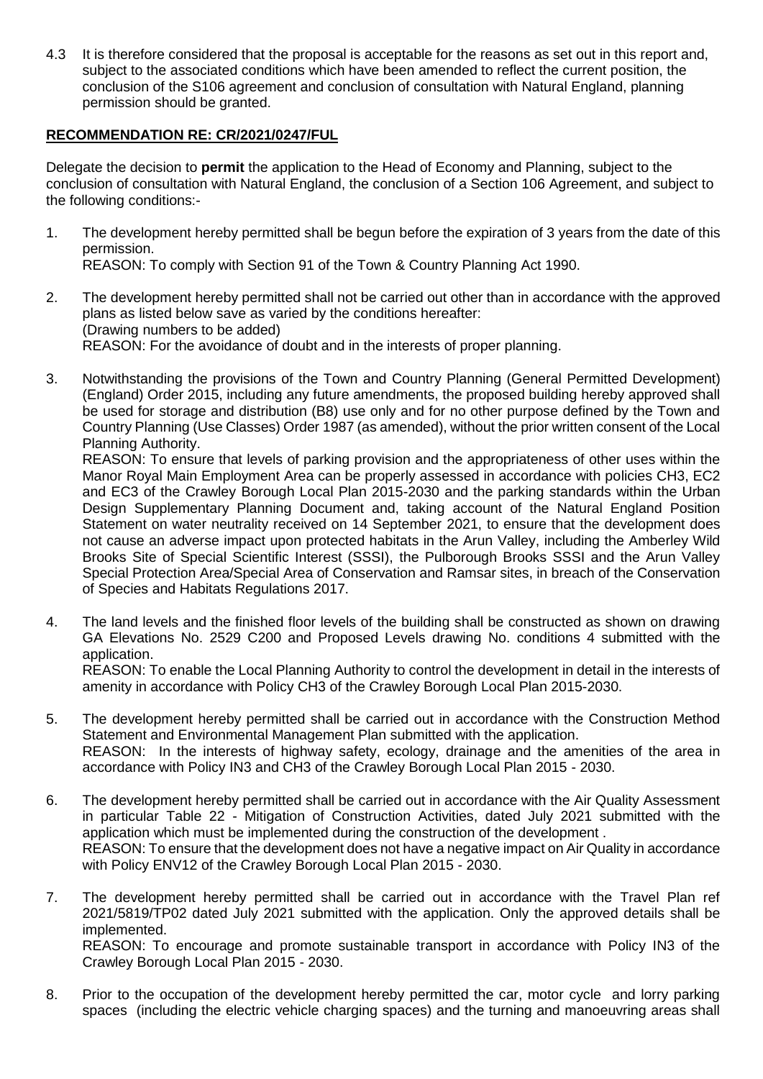4.3 It is therefore considered that the proposal is acceptable for the reasons as set out in this report and, subject to the associated conditions which have been amended to reflect the current position, the conclusion of the S106 agreement and conclusion of consultation with Natural England, planning permission should be granted.

# **RECOMMENDATION RE: CR/2021/0247/FUL**

Delegate the decision to **permit** the application to the Head of Economy and Planning, subject to the conclusion of consultation with Natural England, the conclusion of a Section 106 Agreement, and subject to the following conditions:-

- 1. The development hereby permitted shall be begun before the expiration of 3 years from the date of this permission. REASON: To comply with Section 91 of the Town & Country Planning Act 1990.
- 2. The development hereby permitted shall not be carried out other than in accordance with the approved plans as listed below save as varied by the conditions hereafter: (Drawing numbers to be added) REASON: For the avoidance of doubt and in the interests of proper planning.
- 3. Notwithstanding the provisions of the Town and Country Planning (General Permitted Development) (England) Order 2015, including any future amendments, the proposed building hereby approved shall be used for storage and distribution (B8) use only and for no other purpose defined by the Town and Country Planning (Use Classes) Order 1987 (as amended), without the prior written consent of the Local Planning Authority.

REASON: To ensure that levels of parking provision and the appropriateness of other uses within the Manor Royal Main Employment Area can be properly assessed in accordance with policies CH3, EC2 and EC3 of the Crawley Borough Local Plan 2015-2030 and the parking standards within the Urban Design Supplementary Planning Document and, taking account of the Natural England Position Statement on water neutrality received on 14 September 2021, to ensure that the development does not cause an adverse impact upon protected habitats in the Arun Valley, including the Amberley Wild Brooks Site of Special Scientific Interest (SSSI), the Pulborough Brooks SSSI and the Arun Valley Special Protection Area/Special Area of Conservation and Ramsar sites, in breach of the Conservation of Species and Habitats Regulations 2017.

4. The land levels and the finished floor levels of the building shall be constructed as shown on drawing GA Elevations No. 2529 C200 and Proposed Levels drawing No. conditions 4 submitted with the application. REASON: To enable the Local Planning Authority to control the development in detail in the interests of

amenity in accordance with Policy CH3 of the Crawley Borough Local Plan 2015-2030.

- 5. The development hereby permitted shall be carried out in accordance with the Construction Method Statement and Environmental Management Plan submitted with the application. REASON: In the interests of highway safety, ecology, drainage and the amenities of the area in accordance with Policy IN3 and CH3 of the Crawley Borough Local Plan 2015 - 2030.
- 6. The development hereby permitted shall be carried out in accordance with the Air Quality Assessment in particular Table 22 - Mitigation of Construction Activities, dated July 2021 submitted with the application which must be implemented during the construction of the development . REASON: To ensure that the development does not have a negative impact on Air Quality in accordance with Policy ENV12 of the Crawley Borough Local Plan 2015 - 2030.
- 7. The development hereby permitted shall be carried out in accordance with the Travel Plan ref 2021/5819/TP02 dated July 2021 submitted with the application. Only the approved details shall be implemented. REASON: To encourage and promote sustainable transport in accordance with Policy IN3 of the Crawley Borough Local Plan 2015 - 2030.
- 8. Prior to the occupation of the development hereby permitted the car, motor cycle and lorry parking spaces (including the electric vehicle charging spaces) and the turning and manoeuvring areas shall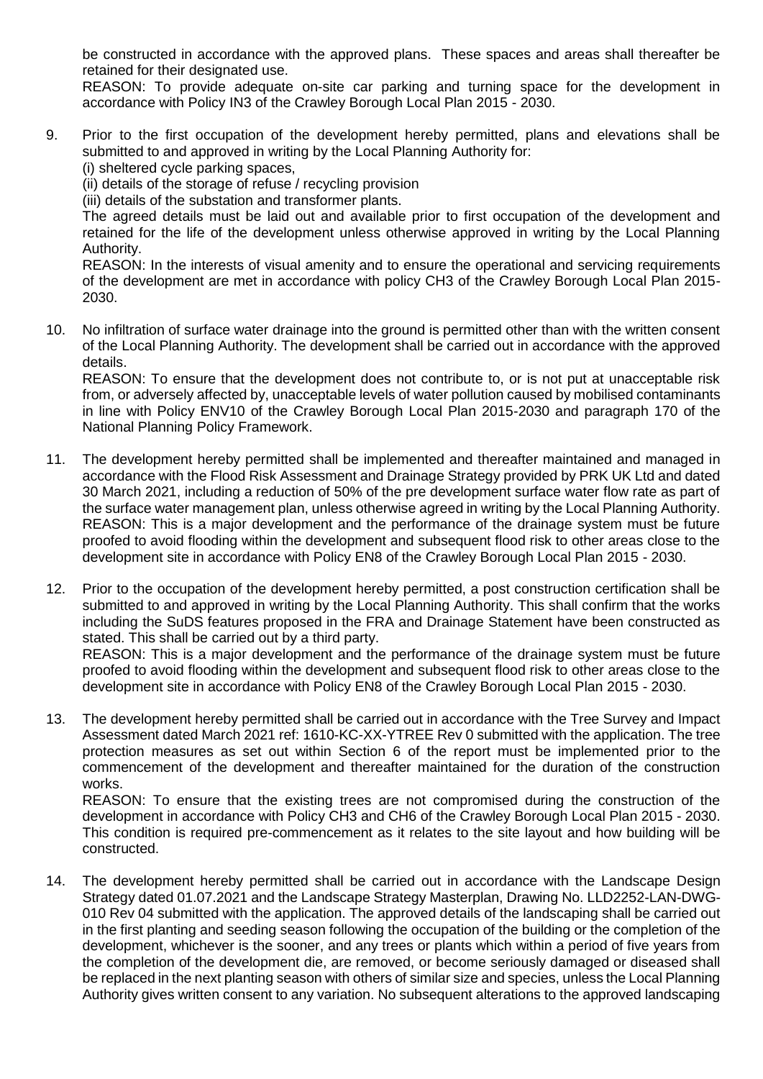be constructed in accordance with the approved plans. These spaces and areas shall thereafter be retained for their designated use.

REASON: To provide adequate on-site car parking and turning space for the development in accordance with Policy IN3 of the Crawley Borough Local Plan 2015 - 2030.

9. Prior to the first occupation of the development hereby permitted, plans and elevations shall be submitted to and approved in writing by the Local Planning Authority for: (i) sheltered cycle parking spaces,

(ii) details of the storage of refuse / recycling provision

(iii) details of the substation and transformer plants.

The agreed details must be laid out and available prior to first occupation of the development and retained for the life of the development unless otherwise approved in writing by the Local Planning Authority.

REASON: In the interests of visual amenity and to ensure the operational and servicing requirements of the development are met in accordance with policy CH3 of the Crawley Borough Local Plan 2015- 2030.

10. No infiltration of surface water drainage into the ground is permitted other than with the written consent of the Local Planning Authority. The development shall be carried out in accordance with the approved details.

REASON: To ensure that the development does not contribute to, or is not put at unacceptable risk from, or adversely affected by, unacceptable levels of water pollution caused by mobilised contaminants in line with Policy ENV10 of the Crawley Borough Local Plan 2015-2030 and paragraph 170 of the National Planning Policy Framework.

- 11. The development hereby permitted shall be implemented and thereafter maintained and managed in accordance with the Flood Risk Assessment and Drainage Strategy provided by PRK UK Ltd and dated 30 March 2021, including a reduction of 50% of the pre development surface water flow rate as part of the surface water management plan, unless otherwise agreed in writing by the Local Planning Authority. REASON: This is a major development and the performance of the drainage system must be future proofed to avoid flooding within the development and subsequent flood risk to other areas close to the development site in accordance with Policy EN8 of the Crawley Borough Local Plan 2015 - 2030.
- 12. Prior to the occupation of the development hereby permitted, a post construction certification shall be submitted to and approved in writing by the Local Planning Authority. This shall confirm that the works including the SuDS features proposed in the FRA and Drainage Statement have been constructed as stated. This shall be carried out by a third party.

REASON: This is a major development and the performance of the drainage system must be future proofed to avoid flooding within the development and subsequent flood risk to other areas close to the development site in accordance with Policy EN8 of the Crawley Borough Local Plan 2015 - 2030.

13. The development hereby permitted shall be carried out in accordance with the Tree Survey and Impact Assessment dated March 2021 ref: 1610-KC-XX-YTREE Rev 0 submitted with the application. The tree protection measures as set out within Section 6 of the report must be implemented prior to the commencement of the development and thereafter maintained for the duration of the construction works.

REASON: To ensure that the existing trees are not compromised during the construction of the development in accordance with Policy CH3 and CH6 of the Crawley Borough Local Plan 2015 - 2030. This condition is required pre-commencement as it relates to the site layout and how building will be constructed.

14. The development hereby permitted shall be carried out in accordance with the Landscape Design Strategy dated 01.07.2021 and the Landscape Strategy Masterplan, Drawing No. LLD2252-LAN-DWG-010 Rev 04 submitted with the application. The approved details of the landscaping shall be carried out in the first planting and seeding season following the occupation of the building or the completion of the development, whichever is the sooner, and any trees or plants which within a period of five years from the completion of the development die, are removed, or become seriously damaged or diseased shall be replaced in the next planting season with others of similar size and species, unless the Local Planning Authority gives written consent to any variation. No subsequent alterations to the approved landscaping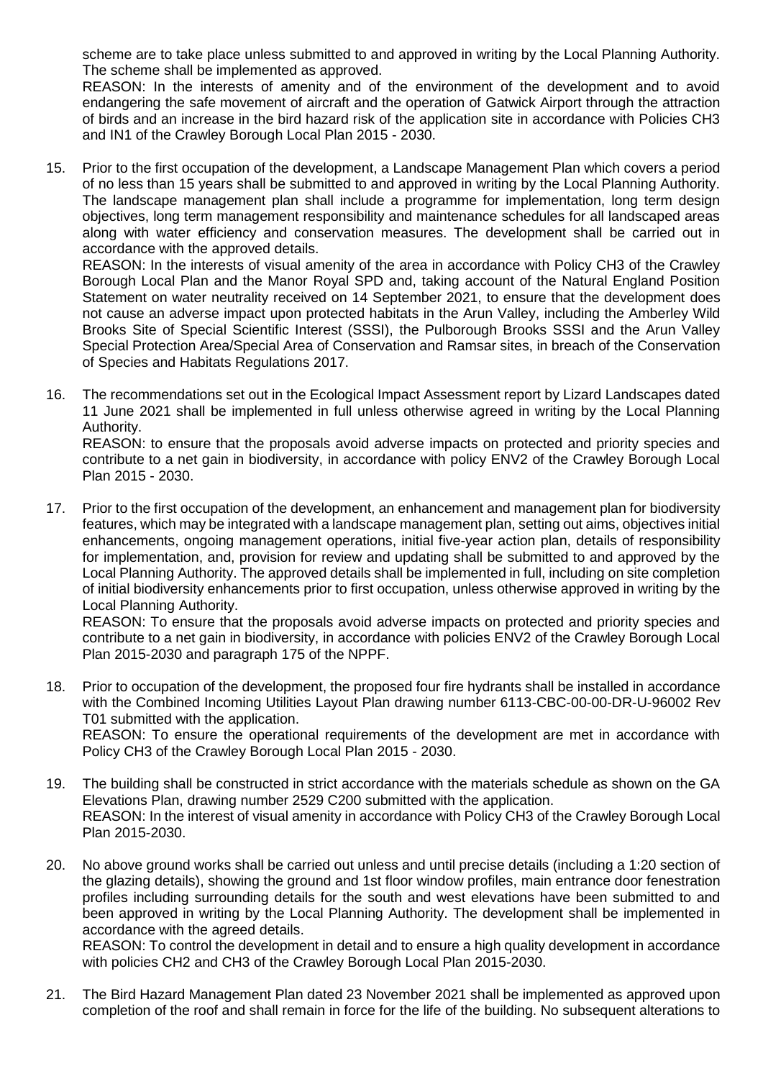scheme are to take place unless submitted to and approved in writing by the Local Planning Authority. The scheme shall be implemented as approved.

REASON: In the interests of amenity and of the environment of the development and to avoid endangering the safe movement of aircraft and the operation of Gatwick Airport through the attraction of birds and an increase in the bird hazard risk of the application site in accordance with Policies CH3 and IN1 of the Crawley Borough Local Plan 2015 - 2030.

15. Prior to the first occupation of the development, a Landscape Management Plan which covers a period of no less than 15 years shall be submitted to and approved in writing by the Local Planning Authority. The landscape management plan shall include a programme for implementation, long term design objectives, long term management responsibility and maintenance schedules for all landscaped areas along with water efficiency and conservation measures. The development shall be carried out in accordance with the approved details.

REASON: In the interests of visual amenity of the area in accordance with Policy CH3 of the Crawley Borough Local Plan and the Manor Royal SPD and, taking account of the Natural England Position Statement on water neutrality received on 14 September 2021, to ensure that the development does not cause an adverse impact upon protected habitats in the Arun Valley, including the Amberley Wild Brooks Site of Special Scientific Interest (SSSI), the Pulborough Brooks SSSI and the Arun Valley Special Protection Area/Special Area of Conservation and Ramsar sites, in breach of the Conservation of Species and Habitats Regulations 2017.

16. The recommendations set out in the Ecological Impact Assessment report by Lizard Landscapes dated 11 June 2021 shall be implemented in full unless otherwise agreed in writing by the Local Planning Authority.

REASON: to ensure that the proposals avoid adverse impacts on protected and priority species and contribute to a net gain in biodiversity, in accordance with policy ENV2 of the Crawley Borough Local Plan 2015 - 2030.

17. Prior to the first occupation of the development, an enhancement and management plan for biodiversity features, which may be integrated with a landscape management plan, setting out aims, objectives initial enhancements, ongoing management operations, initial five-year action plan, details of responsibility for implementation, and, provision for review and updating shall be submitted to and approved by the Local Planning Authority. The approved details shall be implemented in full, including on site completion of initial biodiversity enhancements prior to first occupation, unless otherwise approved in writing by the Local Planning Authority.

REASON: To ensure that the proposals avoid adverse impacts on protected and priority species and contribute to a net gain in biodiversity, in accordance with policies ENV2 of the Crawley Borough Local Plan 2015-2030 and paragraph 175 of the NPPF.

18. Prior to occupation of the development, the proposed four fire hydrants shall be installed in accordance with the Combined Incoming Utilities Layout Plan drawing number 6113-CBC-00-00-DR-U-96002 Rev T01 submitted with the application. REASON: To ensure the operational requirements of the development are met in accordance with

Policy CH3 of the Crawley Borough Local Plan 2015 - 2030.

- 19. The building shall be constructed in strict accordance with the materials schedule as shown on the GA Elevations Plan, drawing number 2529 C200 submitted with the application. REASON: In the interest of visual amenity in accordance with Policy CH3 of the Crawley Borough Local Plan 2015-2030.
- 20. No above ground works shall be carried out unless and until precise details (including a 1:20 section of the glazing details), showing the ground and 1st floor window profiles, main entrance door fenestration profiles including surrounding details for the south and west elevations have been submitted to and been approved in writing by the Local Planning Authority. The development shall be implemented in accordance with the agreed details. REASON: To control the development in detail and to ensure a high quality development in accordance with policies CH2 and CH3 of the Crawley Borough Local Plan 2015-2030.
- 21. The Bird Hazard Management Plan dated 23 November 2021 shall be implemented as approved upon completion of the roof and shall remain in force for the life of the building. No subsequent alterations to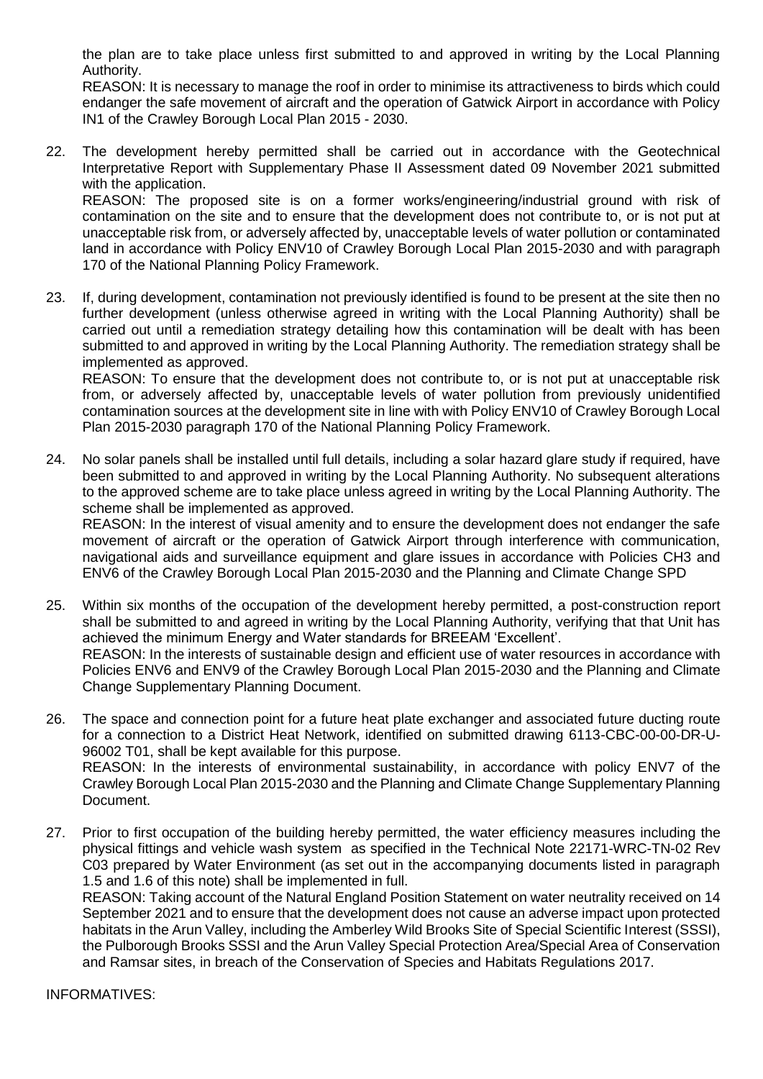the plan are to take place unless first submitted to and approved in writing by the Local Planning Authority.

REASON: It is necessary to manage the roof in order to minimise its attractiveness to birds which could endanger the safe movement of aircraft and the operation of Gatwick Airport in accordance with Policy IN1 of the Crawley Borough Local Plan 2015 - 2030.

22. The development hereby permitted shall be carried out in accordance with the Geotechnical Interpretative Report with Supplementary Phase II Assessment dated 09 November 2021 submitted with the application.

REASON: The proposed site is on a former works/engineering/industrial ground with risk of contamination on the site and to ensure that the development does not contribute to, or is not put at unacceptable risk from, or adversely affected by, unacceptable levels of water pollution or contaminated land in accordance with Policy ENV10 of Crawley Borough Local Plan 2015-2030 and with paragraph 170 of the National Planning Policy Framework.

23. If, during development, contamination not previously identified is found to be present at the site then no further development (unless otherwise agreed in writing with the Local Planning Authority) shall be carried out until a remediation strategy detailing how this contamination will be dealt with has been submitted to and approved in writing by the Local Planning Authority. The remediation strategy shall be implemented as approved.

REASON: To ensure that the development does not contribute to, or is not put at unacceptable risk from, or adversely affected by, unacceptable levels of water pollution from previously unidentified contamination sources at the development site in line with with Policy ENV10 of Crawley Borough Local Plan 2015-2030 paragraph 170 of the National Planning Policy Framework.

24. No solar panels shall be installed until full details, including a solar hazard glare study if required, have been submitted to and approved in writing by the Local Planning Authority. No subsequent alterations to the approved scheme are to take place unless agreed in writing by the Local Planning Authority. The scheme shall be implemented as approved.

REASON: In the interest of visual amenity and to ensure the development does not endanger the safe movement of aircraft or the operation of Gatwick Airport through interference with communication, navigational aids and surveillance equipment and glare issues in accordance with Policies CH3 and ENV6 of the Crawley Borough Local Plan 2015-2030 and the Planning and Climate Change SPD

- 25. Within six months of the occupation of the development hereby permitted, a post-construction report shall be submitted to and agreed in writing by the Local Planning Authority, verifying that that Unit has achieved the minimum Energy and Water standards for BREEAM 'Excellent'. REASON: In the interests of sustainable design and efficient use of water resources in accordance with Policies ENV6 and ENV9 of the Crawley Borough Local Plan 2015-2030 and the Planning and Climate Change Supplementary Planning Document.
- 26. The space and connection point for a future heat plate exchanger and associated future ducting route for a connection to a District Heat Network, identified on submitted drawing 6113-CBC-00-00-DR-U-96002 T01, shall be kept available for this purpose. REASON: In the interests of environmental sustainability, in accordance with policy ENV7 of the Crawley Borough Local Plan 2015-2030 and the Planning and Climate Change Supplementary Planning Document.
- 27. Prior to first occupation of the building hereby permitted, the water efficiency measures including the physical fittings and vehicle wash system as specified in the Technical Note 22171-WRC-TN-02 Rev C03 prepared by Water Environment (as set out in the accompanying documents listed in paragraph 1.5 and 1.6 of this note) shall be implemented in full.

REASON: Taking account of the Natural England Position Statement on water neutrality received on 14 September 2021 and to ensure that the development does not cause an adverse impact upon protected habitats in the Arun Valley, including the Amberley Wild Brooks Site of Special Scientific Interest (SSSI), the Pulborough Brooks SSSI and the Arun Valley Special Protection Area/Special Area of Conservation and Ramsar sites, in breach of the Conservation of Species and Habitats Regulations 2017.

INFORMATIVES: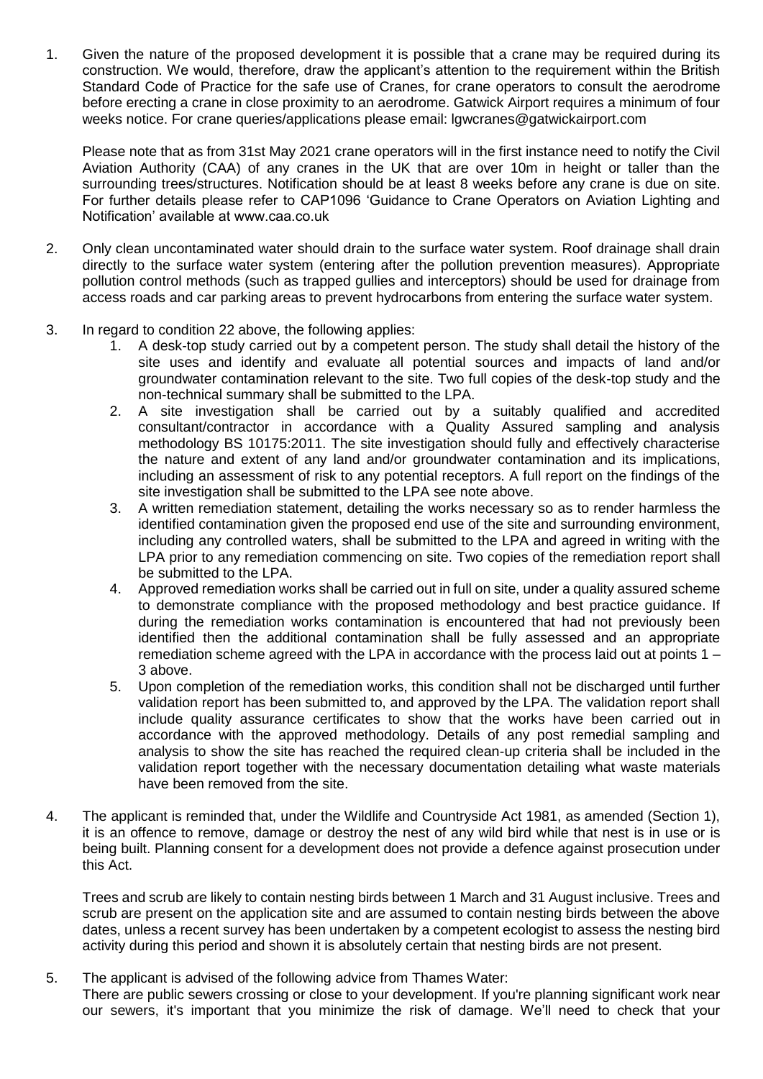1. Given the nature of the proposed development it is possible that a crane may be required during its construction. We would, therefore, draw the applicant's attention to the requirement within the British Standard Code of Practice for the safe use of Cranes, for crane operators to consult the aerodrome before erecting a crane in close proximity to an aerodrome. Gatwick Airport requires a minimum of four weeks notice. For crane queries/applications please email: lgwcranes@gatwickairport.com

Please note that as from 31st May 2021 crane operators will in the first instance need to notify the Civil Aviation Authority (CAA) of any cranes in the UK that are over 10m in height or taller than the surrounding trees/structures. Notification should be at least 8 weeks before any crane is due on site. For further details please refer to CAP1096 'Guidance to Crane Operators on Aviation Lighting and Notification' available at www.caa.co.uk

- 2. Only clean uncontaminated water should drain to the surface water system. Roof drainage shall drain directly to the surface water system (entering after the pollution prevention measures). Appropriate pollution control methods (such as trapped gullies and interceptors) should be used for drainage from access roads and car parking areas to prevent hydrocarbons from entering the surface water system.
- 3. In regard to condition 22 above, the following applies:
	- 1. A desk-top study carried out by a competent person. The study shall detail the history of the site uses and identify and evaluate all potential sources and impacts of land and/or groundwater contamination relevant to the site. Two full copies of the desk-top study and the non-technical summary shall be submitted to the LPA.
	- 2. A site investigation shall be carried out by a suitably qualified and accredited consultant/contractor in accordance with a Quality Assured sampling and analysis methodology BS 10175:2011. The site investigation should fully and effectively characterise the nature and extent of any land and/or groundwater contamination and its implications, including an assessment of risk to any potential receptors. A full report on the findings of the site investigation shall be submitted to the LPA see note above.
	- 3. A written remediation statement, detailing the works necessary so as to render harmless the identified contamination given the proposed end use of the site and surrounding environment, including any controlled waters, shall be submitted to the LPA and agreed in writing with the LPA prior to any remediation commencing on site. Two copies of the remediation report shall be submitted to the LPA.
	- 4. Approved remediation works shall be carried out in full on site, under a quality assured scheme to demonstrate compliance with the proposed methodology and best practice guidance. If during the remediation works contamination is encountered that had not previously been identified then the additional contamination shall be fully assessed and an appropriate remediation scheme agreed with the LPA in accordance with the process laid out at points 1 – 3 above.
	- 5. Upon completion of the remediation works, this condition shall not be discharged until further validation report has been submitted to, and approved by the LPA. The validation report shall include quality assurance certificates to show that the works have been carried out in accordance with the approved methodology. Details of any post remedial sampling and analysis to show the site has reached the required clean-up criteria shall be included in the validation report together with the necessary documentation detailing what waste materials have been removed from the site.
- 4. The applicant is reminded that, under the Wildlife and Countryside Act 1981, as amended (Section 1), it is an offence to remove, damage or destroy the nest of any wild bird while that nest is in use or is being built. Planning consent for a development does not provide a defence against prosecution under this Act.

Trees and scrub are likely to contain nesting birds between 1 March and 31 August inclusive. Trees and scrub are present on the application site and are assumed to contain nesting birds between the above dates, unless a recent survey has been undertaken by a competent ecologist to assess the nesting bird activity during this period and shown it is absolutely certain that nesting birds are not present.

5. The applicant is advised of the following advice from Thames Water: There are public sewers crossing or close to your development. If you're planning significant work near our sewers, it's important that you minimize the risk of damage. We'll need to check that your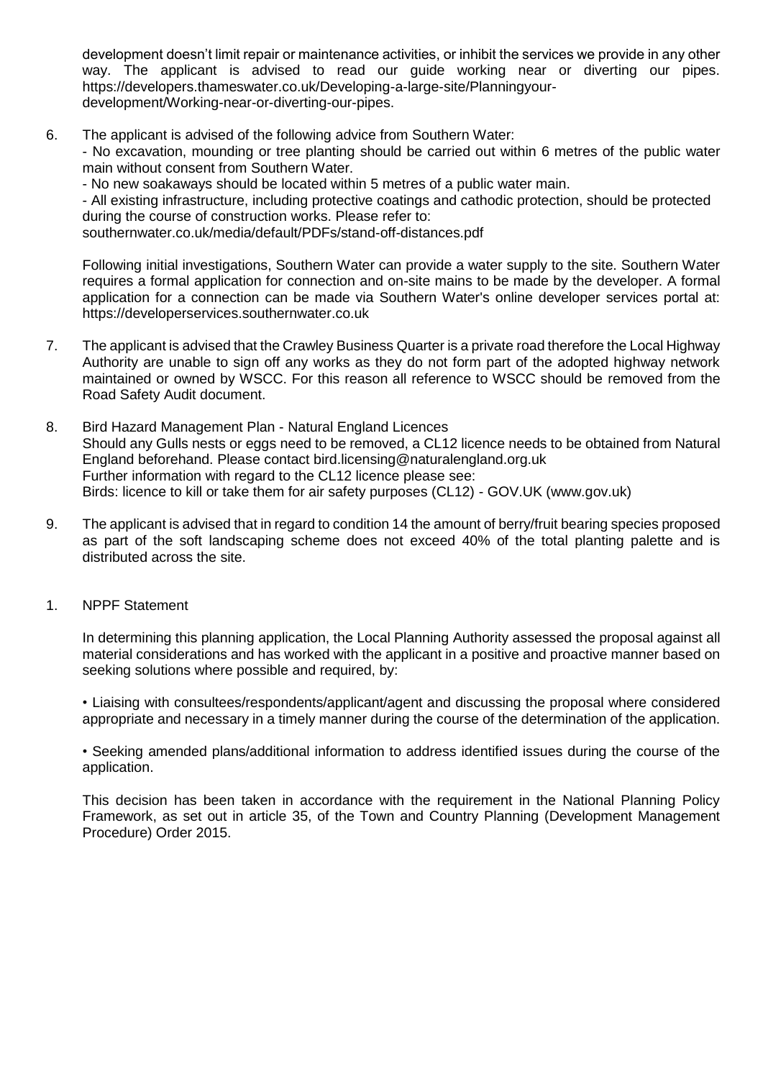development doesn't limit repair or maintenance activities, or inhibit the services we provide in any other way. The applicant is advised to read our guide working near or diverting our pipes. https://developers.thameswater.co.uk/Developing-a-large-site/Planningyourdevelopment/Working-near-or-diverting-our-pipes.

- 6. The applicant is advised of the following advice from Southern Water: - No excavation, mounding or tree planting should be carried out within 6 metres of the public water main without consent from Southern Water.
	- No new soakaways should be located within 5 metres of a public water main.

- All existing infrastructure, including protective coatings and cathodic protection, should be protected during the course of construction works. Please refer to:

southernwater.co.uk/media/default/PDFs/stand-off-distances.pdf

Following initial investigations, Southern Water can provide a water supply to the site. Southern Water requires a formal application for connection and on-site mains to be made by the developer. A formal application for a connection can be made via Southern Water's online developer services portal at: https://developerservices.southernwater.co.uk

- 7. The applicant is advised that the Crawley Business Quarter is a private road therefore the Local Highway Authority are unable to sign off any works as they do not form part of the adopted highway network maintained or owned by WSCC. For this reason all reference to WSCC should be removed from the Road Safety Audit document.
- 8. Bird Hazard Management Plan Natural England Licences Should any Gulls nests or eggs need to be removed, a CL12 licence needs to be obtained from Natural England beforehand. Please contact bird.licensing@naturalengland.org.uk Further information with regard to the CL12 licence please see: Birds: licence to kill or take them for air safety purposes (CL12) - GOV.UK (www.gov.uk)
- 9. The applicant is advised that in regard to condition 14 the amount of berry/fruit bearing species proposed as part of the soft landscaping scheme does not exceed 40% of the total planting palette and is distributed across the site.
- 1. NPPF Statement

In determining this planning application, the Local Planning Authority assessed the proposal against all material considerations and has worked with the applicant in a positive and proactive manner based on seeking solutions where possible and required, by:

• Liaising with consultees/respondents/applicant/agent and discussing the proposal where considered appropriate and necessary in a timely manner during the course of the determination of the application.

• Seeking amended plans/additional information to address identified issues during the course of the application.

This decision has been taken in accordance with the requirement in the National Planning Policy Framework, as set out in article 35, of the Town and Country Planning (Development Management Procedure) Order 2015.